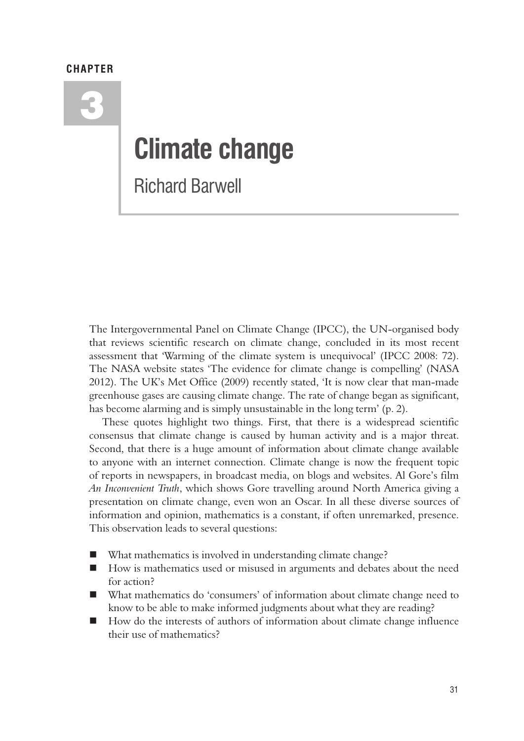#### **CHAPTER**

3

# **Climate change**

Richard Barwell

The Intergovernmental Panel on Climate Change (IPCC), the UN-organised body that reviews scientific research on climate change, concluded in its most recent assessment that 'Warming of the climate system is unequivocal' (IPCC 2008: 72). The NASA website states 'The evidence for climate change is compelling' (NASA 2012). The UK's Met Office (2009) recently stated, 'It is now clear that man-made greenhouse gases are causing climate change. The rate of change began as significant, has become alarming and is simply unsustainable in the long term' (p. 2).

These quotes highlight two things. First, that there is a widespread scientific consensus that climate change is caused by human activity and is a major threat. Second, that there is a huge amount of information about climate change available to anyone with an internet connection. Climate change is now the frequent topic of reports in newspapers, in broadcast media, on blogs and websites. Al Gore's film *An Inconvenient Truth*, which shows Gore travelling around North America giving a presentation on climate change, even won an Oscar. In all these diverse sources of information and opinion, mathematics is a constant, if often unremarked, presence. This observation leads to several questions:

- What mathematics is involved in understanding climate change?
- How is mathematics used or misused in arguments and debates about the need for action?
- What mathematics do 'consumers' of information about climate change need to know to be able to make informed judgments about what they are reading?
- How do the interests of authors of information about climate change influence their use of mathematics?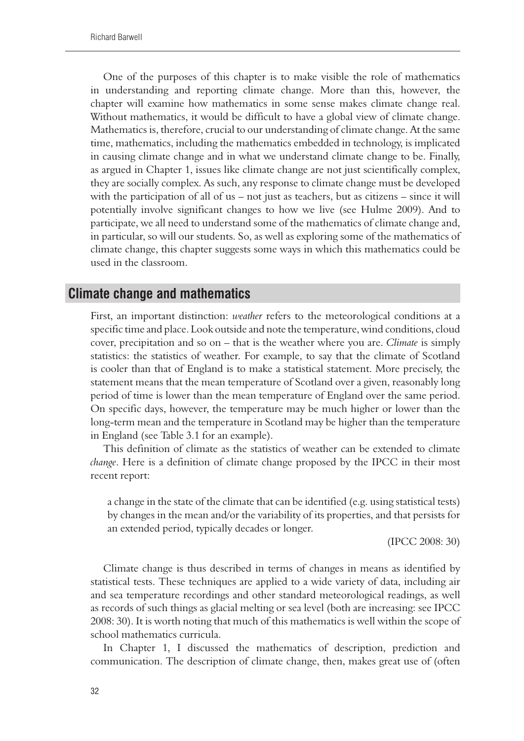One of the purposes of this chapter is to make visible the role of mathematics in understanding and reporting climate change. More than this, however, the chapter will examine how mathematics in some sense makes climate change real. Without mathematics, it would be difficult to have a global view of climate change. Mathematics is, therefore, crucial to our understanding of climate change. At the same time, mathematics, including the mathematics embedded in technology, is implicated in causing climate change and in what we understand climate change to be. Finally, as argued in Chapter 1, issues like climate change are not just scientifically complex, they are socially complex. As such, any response to climate change must be developed with the participation of all of us – not just as teachers, but as citizens – since it will potentially involve significant changes to how we live (see Hulme 2009). And to participate, we all need to understand some of the mathematics of climate change and, in particular, so will our students. So, as well as exploring some of the mathematics of climate change, this chapter suggests some ways in which this mathematics could be used in the classroom.

## **Climate change and mathematics**

First, an important distinction: *weather* refers to the meteorological conditions at a specific time and place. Look outside and note the temperature, wind conditions, cloud cover, precipitation and so on – that is the weather where you are. *Climate* is simply statistics: the statistics of weather. For example, to say that the climate of Scotland is cooler than that of England is to make a statistical statement. More precisely, the statement means that the mean temperature of Scotland over a given, reasonably long period of time is lower than the mean temperature of England over the same period. On specific days, however, the temperature may be much higher or lower than the long-term mean and the temperature in Scotland may be higher than the temperature in England (see Table 3.1 for an example).

This definition of climate as the statistics of weather can be extended to climate *change*. Here is a definition of climate change proposed by the IPCC in their most recent report:

a change in the state of the climate that can be identified (e.g. using statistical tests) by changes in the mean and/or the variability of its properties, and that persists for an extended period, typically decades or longer.

(IPCC 2008: 30)

Climate change is thus described in terms of changes in means as identified by statistical tests. These techniques are applied to a wide variety of data, including air and sea temperature recordings and other standard meteorological readings, as well as records of such things as glacial melting or sea level (both are increasing: see IPCC 2008: 30). It is worth noting that much of this mathematics is well within the scope of school mathematics curricula.

In Chapter 1, I discussed the mathematics of description, prediction and communication. The description of climate change, then, makes great use of (often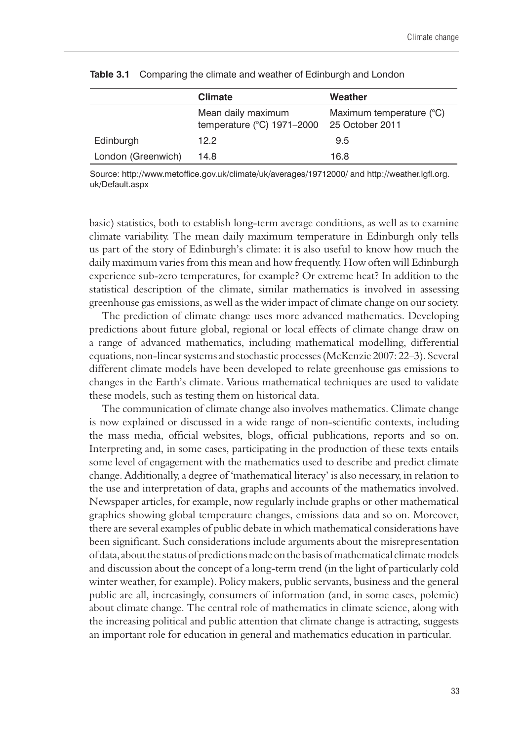|                    | <b>Climate</b>                                                            | Weather                  |  |
|--------------------|---------------------------------------------------------------------------|--------------------------|--|
|                    | Mean daily maximum<br>temperature $(^{\circ}C)$ 1971-2000 25 October 2011 | Maximum temperature (°C) |  |
| Edinburgh          | 12.2                                                                      | 9.5                      |  |
| London (Greenwich) | 14.8                                                                      | 16.8                     |  |

**Table 3.1** Comparing the climate and weather of Edinburgh and London

Source: http://www.metoffice.gov.uk/climate/uk/averages/19712000/ and http://weather.lgfl.org. uk/Default.aspx

basic) statistics, both to establish long-term average conditions, as well as to examine climate variability. The mean daily maximum temperature in Edinburgh only tells us part of the story of Edinburgh's climate: it is also useful to know how much the daily maximum varies from this mean and how frequently. How often will Edinburgh experience sub-zero temperatures, for example? Or extreme heat? In addition to the statistical description of the climate, similar mathematics is involved in assessing greenhouse gas emissions, as well as the wider impact of climate change on our society.

The prediction of climate change uses more advanced mathematics. Developing predictions about future global, regional or local effects of climate change draw on a range of advanced mathematics, including mathematical modelling, differential equations, non-linear systems and stochastic processes (McKenzie 2007: 22–3). Several different climate models have been developed to relate greenhouse gas emissions to changes in the Earth's climate. Various mathematical techniques are used to validate these models, such as testing them on historical data.

The communication of climate change also involves mathematics. Climate change is now explained or discussed in a wide range of non-scientific contexts, including the mass media, official websites, blogs, official publications, reports and so on. Interpreting and, in some cases, participating in the production of these texts entails some level of engagement with the mathematics used to describe and predict climate change. Additionally, a degree of 'mathematical literacy' is also necessary, in relation to the use and interpretation of data, graphs and accounts of the mathematics involved. Newspaper articles, for example, now regularly include graphs or other mathematical graphics showing global temperature changes, emissions data and so on. Moreover, there are several examples of public debate in which mathematical considerations have been significant. Such considerations include arguments about the misrepresentation of data, about the status of predictions made on the basis of mathematical climate models and discussion about the concept of a long-term trend (in the light of particularly cold winter weather, for example). Policy makers, public servants, business and the general public are all, increasingly, consumers of information (and, in some cases, polemic) about climate change. The central role of mathematics in climate science, along with the increasing political and public attention that climate change is attracting, suggests an important role for education in general and mathematics education in particular.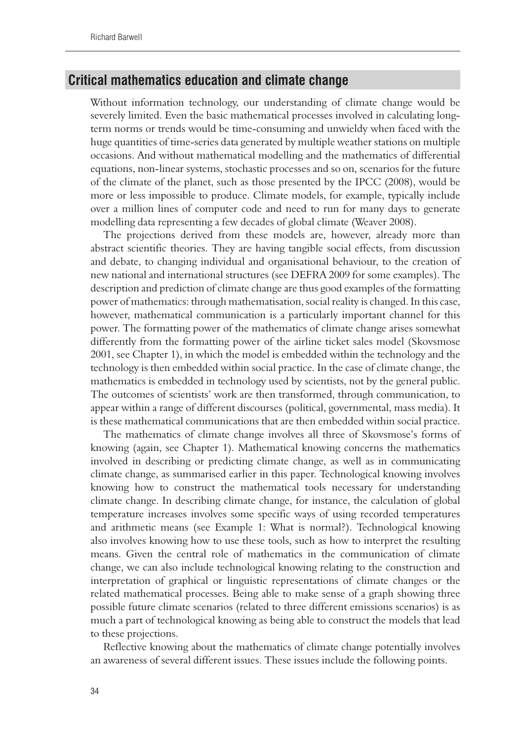# **Critical mathematics education and climate change**

Without information technology, our understanding of climate change would be severely limited. Even the basic mathematical processes involved in calculating longterm norms or trends would be time-consuming and unwieldy when faced with the huge quantities of time-series data generated by multiple weather stations on multiple occasions. And without mathematical modelling and the mathematics of differential equations, non-linear systems, stochastic processes and so on, scenarios for the future of the climate of the planet, such as those presented by the IPCC (2008), would be more or less impossible to produce. Climate models, for example, typically include over a million lines of computer code and need to run for many days to generate modelling data representing a few decades of global climate (Weaver 2008).

The projections derived from these models are, however, already more than abstract scientific theories. They are having tangible social effects, from discussion and debate, to changing individual and organisational behaviour, to the creation of new national and international structures (see DEFRA 2009 for some examples). The description and prediction of climate change are thus good examples of the formatting power of mathematics: through mathematisation, social reality is changed. In this case, however, mathematical communication is a particularly important channel for this power. The formatting power of the mathematics of climate change arises somewhat differently from the formatting power of the airline ticket sales model (Skovsmose 2001, see Chapter 1), in which the model is embedded within the technology and the technology is then embedded within social practice. In the case of climate change, the mathematics is embedded in technology used by scientists, not by the general public. The outcomes of scientists' work are then transformed, through communication, to appear within a range of different discourses (political, governmental, mass media). It is these mathematical communications that are then embedded within social practice.

The mathematics of climate change involves all three of Skovsmose's forms of knowing (again, see Chapter 1). Mathematical knowing concerns the mathematics involved in describing or predicting climate change, as well as in communicating climate change, as summarised earlier in this paper. Technological knowing involves knowing how to construct the mathematical tools necessary for understanding climate change. In describing climate change, for instance, the calculation of global temperature increases involves some specific ways of using recorded temperatures and arithmetic means (see Example 1: What is normal?). Technological knowing also involves knowing how to use these tools, such as how to interpret the resulting means. Given the central role of mathematics in the communication of climate change, we can also include technological knowing relating to the construction and interpretation of graphical or linguistic representations of climate changes or the related mathematical processes. Being able to make sense of a graph showing three possible future climate scenarios (related to three different emissions scenarios) is as much a part of technological knowing as being able to construct the models that lead to these projections.

Reflective knowing about the mathematics of climate change potentially involves an awareness of several different issues. These issues include the following points.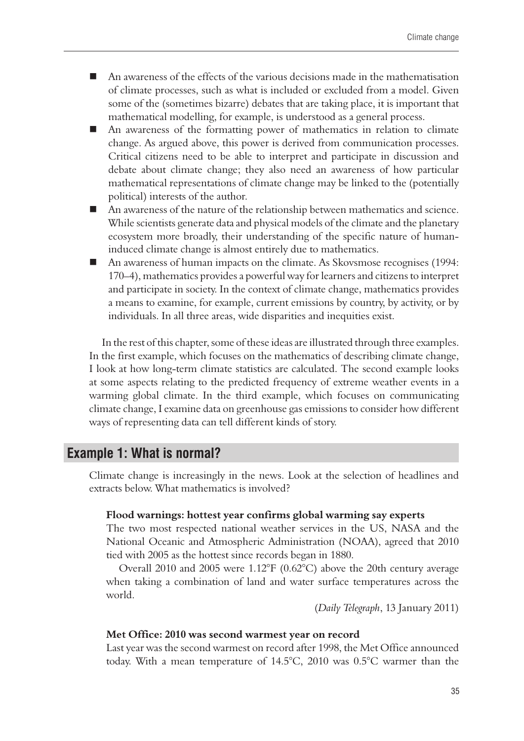- An awareness of the effects of the various decisions made in the mathematisation of climate processes, such as what is included or excluded from a model. Given some of the (sometimes bizarre) debates that are taking place, it is important that mathematical modelling, for example, is understood as a general process.
- An awareness of the formatting power of mathematics in relation to climate change. As argued above, this power is derived from communication processes. Critical citizens need to be able to interpret and participate in discussion and debate about climate change; they also need an awareness of how particular mathematical representations of climate change may be linked to the (potentially political) interests of the author.
- An awareness of the nature of the relationship between mathematics and science. While scientists generate data and physical models of the climate and the planetary ecosystem more broadly, their understanding of the specific nature of humaninduced climate change is almost entirely due to mathematics.
- An awareness of human impacts on the climate. As Skovsmose recognises (1994: 170–4), mathematics provides a powerful way for learners and citizens to interpret and participate in society. In the context of climate change, mathematics provides a means to examine, for example, current emissions by country, by activity, or by individuals. In all three areas, wide disparities and inequities exist.

In the rest of this chapter, some of these ideas are illustrated through three examples. In the first example, which focuses on the mathematics of describing climate change, I look at how long-term climate statistics are calculated. The second example looks at some aspects relating to the predicted frequency of extreme weather events in a warming global climate. In the third example, which focuses on communicating climate change, I examine data on greenhouse gas emissions to consider how different ways of representing data can tell different kinds of story.

# **Example 1: What is normal?**

Climate change is increasingly in the news. Look at the selection of headlines and extracts below. What mathematics is involved?

#### **Flood warnings: hottest year confirms global warming say experts**

The two most respected national weather services in the US, NASA and the National Oceanic and Atmospheric Administration (NOAA), agreed that 2010 tied with 2005 as the hottest since records began in 1880.

Overall 2010 and 2005 were 1.12°F (0.62°C) above the 20th century average when taking a combination of land and water surface temperatures across the world.

(*Daily Telegraph*, 13 January 2011)

#### **Met Office: 2010 was second warmest year on record**

Last year was the second warmest on record after 1998, the Met Office announced today. With a mean temperature of 14.5°C, 2010 was 0.5°C warmer than the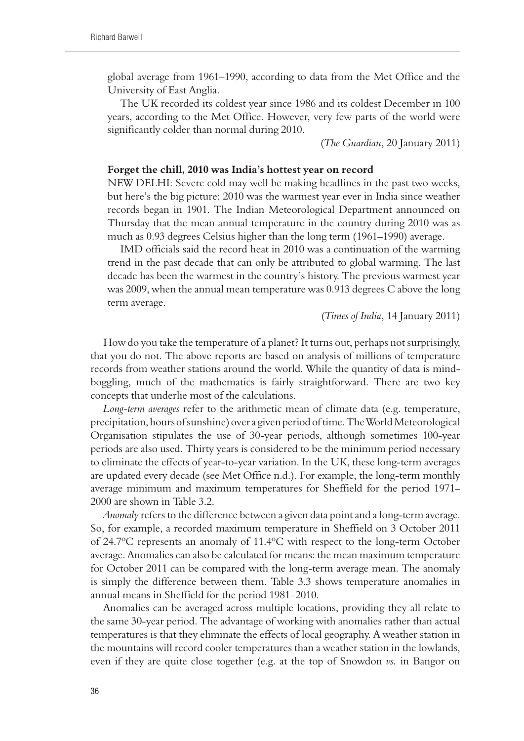global average from 1961–1990, according to data from the Met Office and the University of East Anglia.

The UK recorded its coldest year since 1986 and its coldest December in 100 years, according to the Met Office. However, very few parts of the world were significantly colder than normal during 2010.

(*The Guardian*, 20 January 2011)

#### **Forget the chill, 2010 was India's hottest year on record**

NEW DELHI: Severe cold may well be making headlines in the past two weeks, but here's the big picture: 2010 was the warmest year ever in India since weather records began in 1901. The Indian Meteorological Department announced on Thursday that the mean annual temperature in the country during 2010 was as much as 0.93 degrees Celsius higher than the long term (1961–1990) average.

IMD officials said the record heat in 2010 was a continuation of the warming trend in the past decade that can only be attributed to global warming. The last decade has been the warmest in the country's history. The previous warmest year was 2009, when the annual mean temperature was 0.913 degrees C above the long term average.

(*Times of India*, 14 January 2011)

How do you take the temperature of a planet? It turns out, perhaps not surprisingly, that you do not. The above reports are based on analysis of millions of temperature records from weather stations around the world. While the quantity of data is mindboggling, much of the mathematics is fairly straightforward. There are two key concepts that underlie most of the calculations.

*Long-term averages* refer to the arithmetic mean of climate data (e.g. temperature, precipitation, hours of sunshine) over a given period of time. The World Meteorological Organisation stipulates the use of 30-year periods, although sometimes 100-year periods are also used. Thirty years is considered to be the minimum period necessary to eliminate the effects of year-to-year variation. In the UK, these long-term averages are updated every decade (see Met Office n.d.). For example, the long-term monthly average minimum and maximum temperatures for Sheffield for the period 1971– 2000 are shown in Table 3.2.

*Anomaly* refers to the difference between a given data point and a long-term average. So, for example, a recorded maximum temperature in Sheffield on 3 October 2011 of 24.7ºC represents an anomaly of 11.4ºC with respect to the long-term October average. Anomalies can also be calculated for means: the mean maximum temperature for October 2011 can be compared with the long-term average mean. The anomaly is simply the difference between them. Table 3.3 shows temperature anomalies in annual means in Sheffield for the period 1981–2010.

Anomalies can be averaged across multiple locations, providing they all relate to the same 30-year period. The advantage of working with anomalies rather than actual temperatures is that they eliminate the effects of local geography. A weather station in the mountains will record cooler temperatures than a weather station in the lowlands, even if they are quite close together (e.g. at the top of Snowdon *vs.* in Bangor on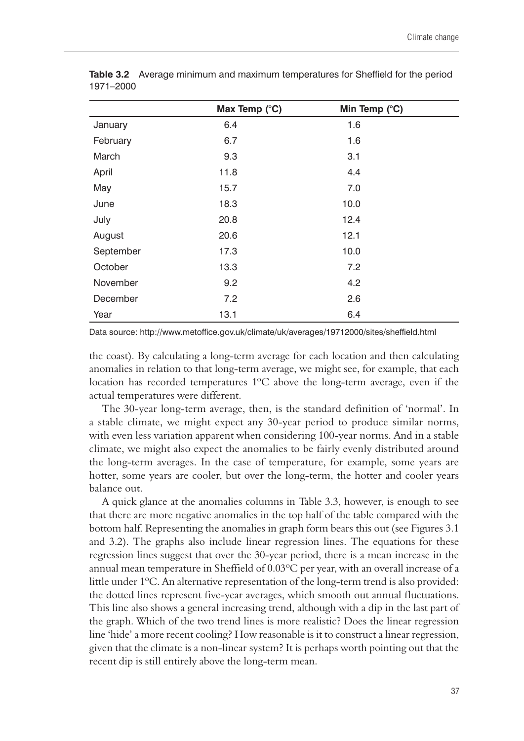|           | Max Temp $(^{\circ}C)$ | Min Temp $(^{\circ}C)$ |
|-----------|------------------------|------------------------|
| January   | 6.4                    | 1.6                    |
| February  | 6.7                    | 1.6                    |
| March     | 9.3                    | 3.1                    |
| April     | 11.8                   | 4.4                    |
| May       | 15.7                   | 7.0                    |
| June      | 18.3                   | 10.0                   |
| July      | 20.8                   | 12.4                   |
| August    | 20.6                   | 12.1                   |
| September | 17.3                   | 10.0                   |
| October   | 13.3                   | 7.2                    |
| November  | 9.2                    | 4.2                    |
| December  | 7.2                    | 2.6                    |
| Year      | 13.1                   | 6.4                    |

**Table 3.2** Average minimum and maximum temperatures for Sheffield for the period 1971–2000

Data source: http://www.metoffice.gov.uk/climate/uk/averages/19712000/sites/sheffield.html

the coast). By calculating a long-term average for each location and then calculating anomalies in relation to that long-term average, we might see, for example, that each location has recorded temperatures 1ºC above the long-term average, even if the actual temperatures were different.

The 30-year long-term average, then, is the standard definition of 'normal'. In a stable climate, we might expect any 30-year period to produce similar norms, with even less variation apparent when considering 100-year norms. And in a stable climate, we might also expect the anomalies to be fairly evenly distributed around the long-term averages. In the case of temperature, for example, some years are hotter, some years are cooler, but over the long-term, the hotter and cooler years balance out.

A quick glance at the anomalies columns in Table 3.3, however, is enough to see that there are more negative anomalies in the top half of the table compared with the bottom half. Representing the anomalies in graph form bears this out (see Figures 3.1 and 3.2). The graphs also include linear regression lines. The equations for these regression lines suggest that over the 30-year period, there is a mean increase in the annual mean temperature in Sheffield of 0.03ºC per year, with an overall increase of a little under 1ºC. An alternative representation of the long-term trend is also provided: the dotted lines represent five-year averages, which smooth out annual fluctuations. This line also shows a general increasing trend, although with a dip in the last part of the graph. Which of the two trend lines is more realistic? Does the linear regression line 'hide' a more recent cooling? How reasonable is it to construct a linear regression, given that the climate is a non-linear system? It is perhaps worth pointing out that the recent dip is still entirely above the long-term mean.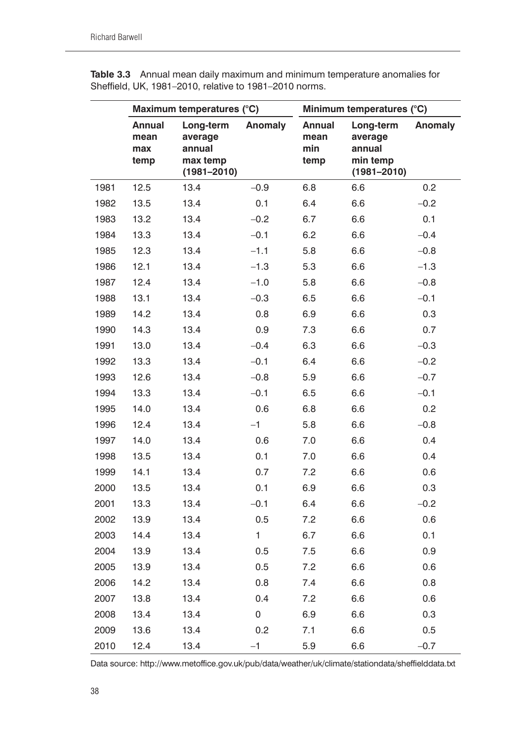|      | Maximum temperatures (°C)     |                                                               |                | Minimum temperatures (°C)     |                                                               |                |
|------|-------------------------------|---------------------------------------------------------------|----------------|-------------------------------|---------------------------------------------------------------|----------------|
|      | Annual<br>mean<br>max<br>temp | Long-term<br>average<br>annual<br>max temp<br>$(1981 - 2010)$ | <b>Anomaly</b> | Annual<br>mean<br>min<br>temp | Long-term<br>average<br>annual<br>min temp<br>$(1981 - 2010)$ | <b>Anomaly</b> |
| 1981 | 12.5                          | 13.4                                                          | $-0.9$         | 6.8                           | 6.6                                                           | 0.2            |
| 1982 | 13.5                          | 13.4                                                          | 0.1            | 6.4                           | 6.6                                                           | $-0.2$         |
| 1983 | 13.2                          | 13.4                                                          | $-0.2$         | 6.7                           | 6.6                                                           | 0.1            |
| 1984 | 13.3                          | 13.4                                                          | $-0.1$         | 6.2                           | 6.6                                                           | $-0.4$         |
| 1985 | 12.3                          | 13.4                                                          | $-1.1$         | 5.8                           | 6.6                                                           | $-0.8$         |
| 1986 | 12.1                          | 13.4                                                          | $-1.3$         | 5.3                           | 6.6                                                           | $-1.3$         |
| 1987 | 12.4                          | 13.4                                                          | $-1.0$         | 5.8                           | 6.6                                                           | $-0.8$         |
| 1988 | 13.1                          | 13.4                                                          | $-0.3$         | 6.5                           | 6.6                                                           | $-0.1$         |
| 1989 | 14.2                          | 13.4                                                          | 0.8            | 6.9                           | 6.6                                                           | 0.3            |
| 1990 | 14.3                          | 13.4                                                          | 0.9            | 7.3                           | 6.6                                                           | 0.7            |
| 1991 | 13.0                          | 13.4                                                          | $-0.4$         | 6.3                           | 6.6                                                           | $-0.3$         |
| 1992 | 13.3                          | 13.4                                                          | $-0.1$         | 6.4                           | 6.6                                                           | $-0.2$         |
| 1993 | 12.6                          | 13.4                                                          | $-0.8$         | 5.9                           | 6.6                                                           | $-0.7$         |
| 1994 | 13.3                          | 13.4                                                          | $-0.1$         | 6.5                           | 6.6                                                           | $-0.1$         |
| 1995 | 14.0                          | 13.4                                                          | 0.6            | 6.8                           | 6.6                                                           | 0.2            |
| 1996 | 12.4                          | 13.4                                                          | $-1$           | 5.8                           | 6.6                                                           | $-0.8$         |
| 1997 | 14.0                          | 13.4                                                          | 0.6            | 7.0                           | 6.6                                                           | 0.4            |
| 1998 | 13.5                          | 13.4                                                          | 0.1            | 7.0                           | 6.6                                                           | 0.4            |
| 1999 | 14.1                          | 13.4                                                          | 0.7            | 7.2                           | 6.6                                                           | 0.6            |
| 2000 | 13.5                          | 13.4                                                          | 0.1            | 6.9                           | 6.6                                                           | 0.3            |
| 2001 | 13.3                          | 13.4                                                          | $-0.1$         | 6.4                           | 6.6                                                           | $-0.2$         |
| 2002 | 13.9                          | 13.4                                                          | 0.5            | 7.2                           | 6.6                                                           | 0.6            |
| 2003 | 14.4                          | 13.4                                                          | $\mathbf{1}$   | 6.7                           | 6.6                                                           | 0.1            |
| 2004 | 13.9                          | 13.4                                                          | 0.5            | 7.5                           | 6.6                                                           | 0.9            |
| 2005 | 13.9                          | 13.4                                                          | 0.5            | 7.2                           | 6.6                                                           | 0.6            |
| 2006 | 14.2                          | 13.4                                                          | 0.8            | 7.4                           | 6.6                                                           | 0.8            |
| 2007 | 13.8                          | 13.4                                                          | 0.4            | 7.2                           | 6.6                                                           | 0.6            |
| 2008 | 13.4                          | 13.4                                                          | 0              | 6.9                           | 6.6                                                           | 0.3            |
| 2009 | 13.6                          | 13.4                                                          | 0.2            | 7.1                           | 6.6                                                           | 0.5            |
| 2010 | 12.4                          | 13.4                                                          | $-1$           | 5.9                           | 6.6                                                           | $-0.7$         |

**Table 3.3** Annual mean daily maximum and minimum temperature anomalies for Sheffield, UK, 1981–2010, relative to 1981–2010 norms.

Data source: http://www.metoffice.gov.uk/pub/data/weather/uk/climate/stationdata/sheffielddata.txt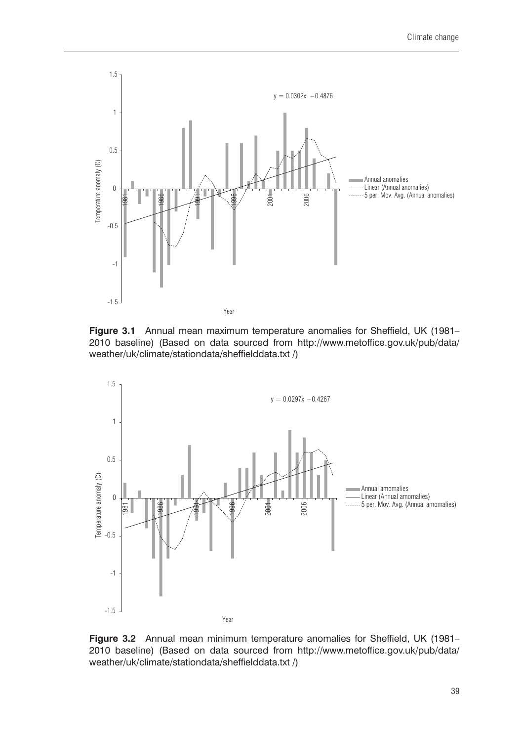

**Figure 3.1** Annual mean maximum temperature anomalies for Sheffield, UK (1981– 2010 baseline) (Based on data sourced from http://www.metoffice.gov.uk/pub/data/ weather/uk/climate/stationdata/sheffielddata.txt /)



**Figure 3.2** Annual mean minimum temperature anomalies for Sheffield, UK (1981– 2010 baseline) (Based on data sourced from http://www.metoffice.gov.uk/pub/data/ weather/uk/climate/stationdata/sheffielddata.txt /)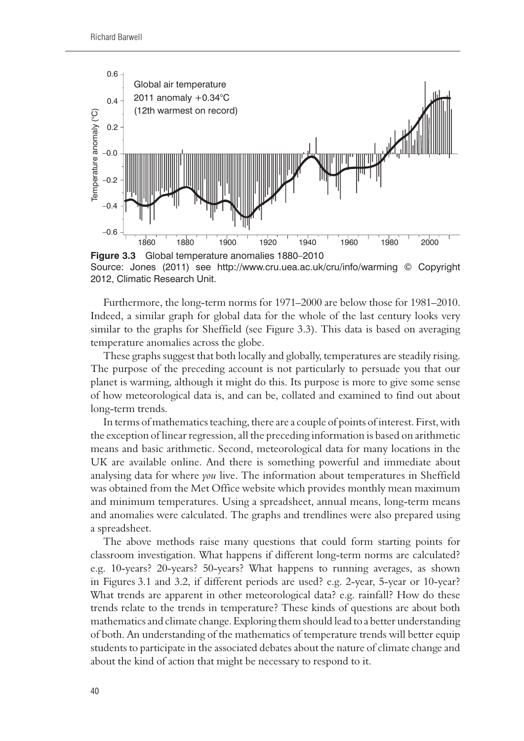

**Figure 3.3** Global temperature anomalies 1880–2010 Source: Jones (2011) see http://www.cru.uea.ac.uk/cru/info/warming © Copyright 2012, Climatic Research Unit.

Furthermore, the long-term norms for 1971–2000 are below those for 1981–2010. Indeed, a similar graph for global data for the whole of the last century looks very similar to the graphs for Sheffield (see Figure 3.3). This data is based on averaging temperature anomalies across the globe.

These graphs suggest that both locally and globally, temperatures are steadily rising. The purpose of the preceding account is not particularly to persuade you that our planet is warming, although it might do this. Its purpose is more to give some sense of how meteorological data is, and can be, collated and examined to find out about long-term trends.

In terms of mathematics teaching, there are a couple of points of interest. First, with the exception of linear regression, all the preceding information is based on arithmetic means and basic arithmetic. Second, meteorological data for many locations in the UK are available online. And there is something powerful and immediate about analysing data for where *you* live. The information about temperatures in Sheffield was obtained from the Met Office website which provides monthly mean maximum and minimum temperatures. Using a spreadsheet, annual means, long-term means and anomalies were calculated. The graphs and trendlines were also prepared using a spreadsheet.

The above methods raise many questions that could form starting points for classroom investigation. What happens if different long-term norms are calculated? e.g. 10-years? 20-years? 50-years? What happens to running averages, as shown in Figures 3.1 and 3.2, if different periods are used? e.g. 2-year, 5-year or 10-year? What trends are apparent in other meteorological data? e.g. rainfall? How do these trends relate to the trends in temperature? These kinds of questions are about both mathematics and climate change. Exploring them should lead to a better understanding of both. An understanding of the mathematics of temperature trends will better equip students to participate in the associated debates about the nature of climate change and about the kind of action that might be necessary to respond to it.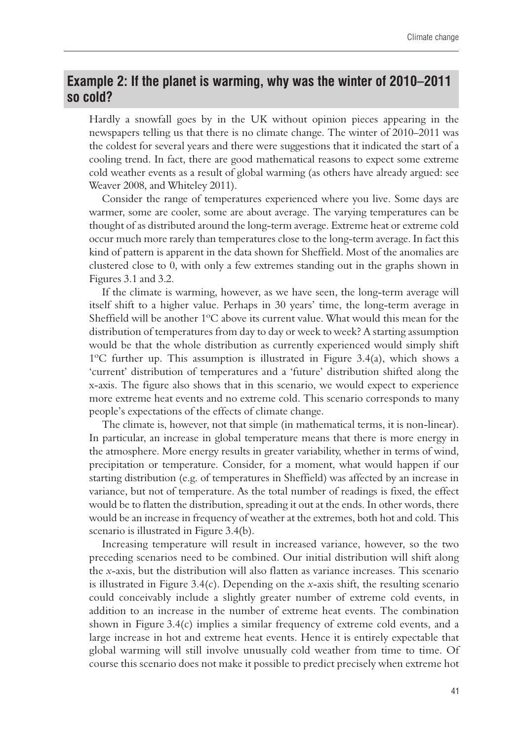# **Example 2: If the planet is warming, why was the winter of 2010–2011 so cold?**

Hardly a snowfall goes by in the UK without opinion pieces appearing in the newspapers telling us that there is no climate change. The winter of 2010–2011 was the coldest for several years and there were suggestions that it indicated the start of a cooling trend. In fact, there are good mathematical reasons to expect some extreme cold weather events as a result of global warming (as others have already argued: see Weaver 2008, and Whiteley 2011).

Consider the range of temperatures experienced where you live. Some days are warmer, some are cooler, some are about average. The varying temperatures can be thought of as distributed around the long-term average. Extreme heat or extreme cold occur much more rarely than temperatures close to the long-term average. In fact this kind of pattern is apparent in the data shown for Sheffield. Most of the anomalies are clustered close to 0, with only a few extremes standing out in the graphs shown in Figures 3.1 and 3.2.

If the climate is warming, however, as we have seen, the long-term average will itself shift to a higher value. Perhaps in 30 years' time, the long-term average in Sheffield will be another 1ºC above its current value. What would this mean for the distribution of temperatures from day to day or week to week? A starting assumption would be that the whole distribution as currently experienced would simply shift 1ºC further up. This assumption is illustrated in Figure 3.4(a), which shows a 'current' distribution of temperatures and a 'future' distribution shifted along the x-axis. The figure also shows that in this scenario, we would expect to experience more extreme heat events and no extreme cold. This scenario corresponds to many people's expectations of the effects of climate change.

The climate is, however, not that simple (in mathematical terms, it is non-linear). In particular, an increase in global temperature means that there is more energy in the atmosphere. More energy results in greater variability, whether in terms of wind, precipitation or temperature. Consider, for a moment, what would happen if our starting distribution (e.g. of temperatures in Sheffield) was affected by an increase in variance, but not of temperature. As the total number of readings is fixed, the effect would be to flatten the distribution, spreading it out at the ends. In other words, there would be an increase in frequency of weather at the extremes, both hot and cold. This scenario is illustrated in Figure 3.4(b).

Increasing temperature will result in increased variance, however, so the two preceding scenarios need to be combined. Our initial distribution will shift along the *x*-axis, but the distribution will also flatten as variance increases. This scenario is illustrated in Figure 3.4(c). Depending on the *x*-axis shift, the resulting scenario could conceivably include a slightly greater number of extreme cold events, in addition to an increase in the number of extreme heat events. The combination shown in Figure 3.4(c) implies a similar frequency of extreme cold events, and a large increase in hot and extreme heat events. Hence it is entirely expectable that global warming will still involve unusually cold weather from time to time. Of course this scenario does not make it possible to predict precisely when extreme hot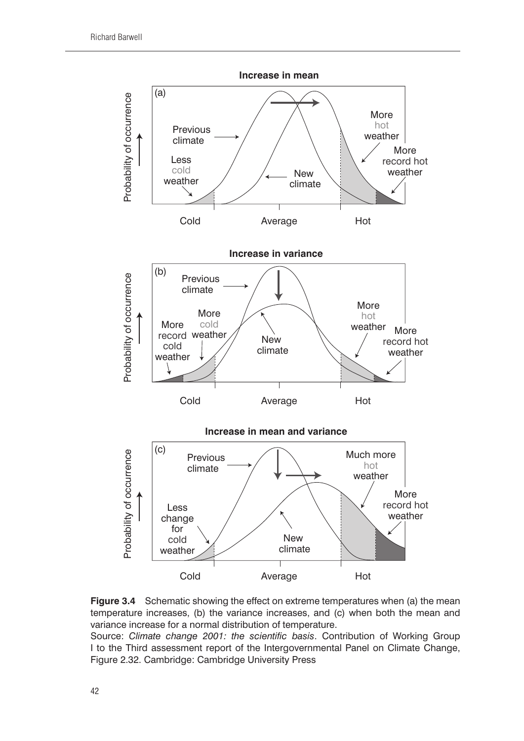



Source: *Climate change 2001: the scientific basis*. Contribution of Working Group I to the Third assessment report of the Intergovernmental Panel on Climate Change, Figure 2.32. Cambridge: Cambridge University Press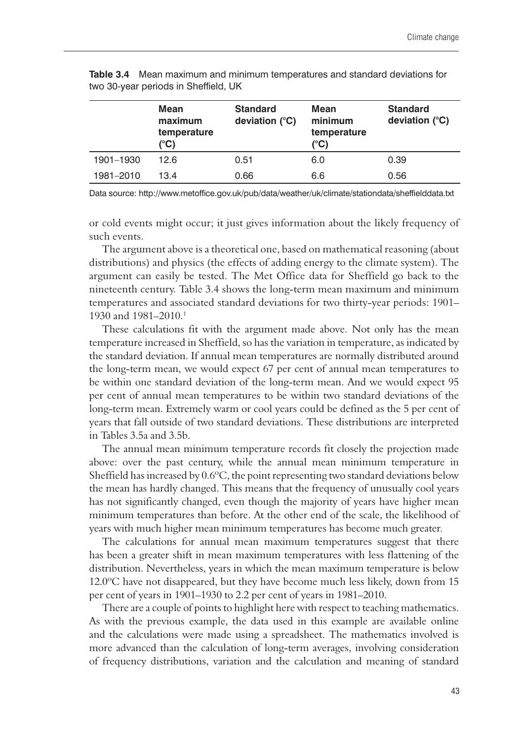|           | Mean<br>maximum<br>temperature<br>(°C) | <b>Standard</b><br>deviation $(^{\circ}C)$ | Mean<br>minimum<br>temperature<br>$(^{\circ}C)$ | <b>Standard</b><br>deviation $(^{\circ}C)$ |
|-----------|----------------------------------------|--------------------------------------------|-------------------------------------------------|--------------------------------------------|
| 1901-1930 | 12.6                                   | 0.51                                       | 6.0                                             | 0.39                                       |
| 1981-2010 | 13.4                                   | 0.66                                       | 6.6                                             | 0.56                                       |

**Table 3.4** Mean maximum and minimum temperatures and standard deviations for two 30-year periods in Sheffield, UK

Data source: http://www.metoffice.gov.uk/pub/data/weather/uk/climate/stationdata/sheffielddata.txt

or cold events might occur; it just gives information about the likely frequency of such events.

The argument above is a theoretical one, based on mathematical reasoning (about distributions) and physics (the effects of adding energy to the climate system). The argument can easily be tested. The Met Office data for Sheffield go back to the nineteenth century. Table 3.4 shows the long-term mean maximum and minimum temperatures and associated standard deviations for two thirty-year periods: 1901– 1930 and 1981–2010.1

These calculations fit with the argument made above. Not only has the mean temperature increased in Sheffield, so has the variation in temperature, as indicated by the standard deviation. If annual mean temperatures are normally distributed around the long-term mean, we would expect 67 per cent of annual mean temperatures to be within one standard deviation of the long-term mean. And we would expect 95 per cent of annual mean temperatures to be within two standard deviations of the long-term mean. Extremely warm or cool years could be defined as the 5 per cent of years that fall outside of two standard deviations. These distributions are interpreted in Tables 3.5a and 3.5b.

The annual mean minimum temperature records fit closely the projection made above: over the past century, while the annual mean minimum temperature in Sheffield has increased by  $0.6\degree C$ , the point representing two standard deviations below the mean has hardly changed. This means that the frequency of unusually cool years has not significantly changed, even though the majority of years have higher mean minimum temperatures than before. At the other end of the scale, the likelihood of years with much higher mean minimum temperatures has become much greater.

The calculations for annual mean maximum temperatures suggest that there has been a greater shift in mean maximum temperatures with less flattening of the distribution. Nevertheless, years in which the mean maximum temperature is below 12.0ºC have not disappeared, but they have become much less likely, down from 15 per cent of years in 1901–1930 to 2.2 per cent of years in 1981–2010.

There are a couple of points to highlight here with respect to teaching mathematics. As with the previous example, the data used in this example are available online and the calculations were made using a spreadsheet. The mathematics involved is more advanced than the calculation of long-term averages, involving consideration of frequency distributions, variation and the calculation and meaning of standard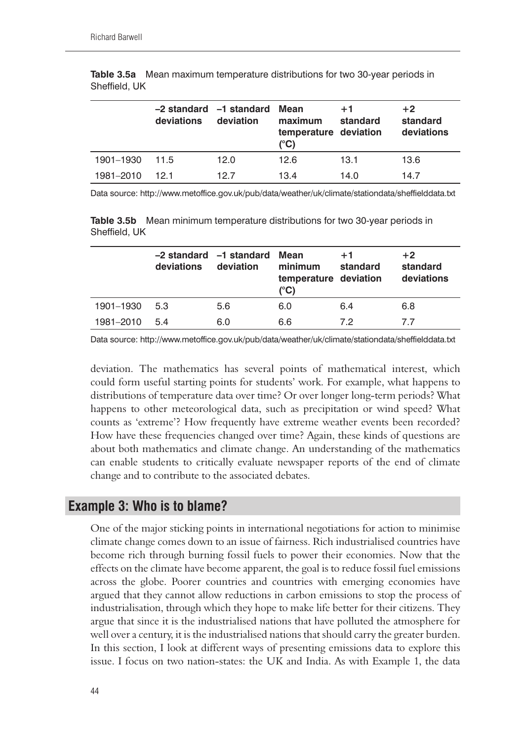|           | deviations | -2 standard -1 standard Mean<br>deviation | maximum<br>temperature deviation<br>$(^{\circ}C)$ | $+1$<br>standard | $+2$<br>standard<br>deviations |
|-----------|------------|-------------------------------------------|---------------------------------------------------|------------------|--------------------------------|
| 1901-1930 | 11.5       | 12.0                                      | 12.6                                              | 13.1             | 13.6                           |
| 1981-2010 | 12.1       | 12 7                                      | 13.4                                              | 14.0             | 14.7                           |

**Table 3.5a** Mean maximum temperature distributions for two 30-year periods in Sheffield, UK

Data source: http://www.metoffice.gov.uk/pub/data/weather/uk/climate/stationdata/sheffielddata.txt

**Table 3.5b** Mean minimum temperature distributions for two 30-year periods in Sheffield, UK

|           | deviations | $-2$ standard $-1$ standard<br>deviation | Mean<br>minimum<br>temperature deviation<br>(°C) | $+1$<br>standard | $+2$<br>standard<br>deviations |
|-----------|------------|------------------------------------------|--------------------------------------------------|------------------|--------------------------------|
| 1901-1930 | 5.3        | 5.6                                      | 6.0                                              | 6.4              | 6.8                            |
| 1981-2010 | 5.4        | 6.0                                      | 6.6                                              | 72               | 77                             |

Data source: http://www.metoffice.gov.uk/pub/data/weather/uk/climate/stationdata/sheffielddata.txt

deviation. The mathematics has several points of mathematical interest, which could form useful starting points for students' work. For example, what happens to distributions of temperature data over time? Or over longer long-term periods? What happens to other meteorological data, such as precipitation or wind speed? What counts as 'extreme'? How frequently have extreme weather events been recorded? How have these frequencies changed over time? Again, these kinds of questions are about both mathematics and climate change. An understanding of the mathematics can enable students to critically evaluate newspaper reports of the end of climate change and to contribute to the associated debates.

## **Example 3: Who is to blame?**

One of the major sticking points in international negotiations for action to minimise climate change comes down to an issue of fairness. Rich industrialised countries have become rich through burning fossil fuels to power their economies. Now that the effects on the climate have become apparent, the goal is to reduce fossil fuel emissions across the globe. Poorer countries and countries with emerging economies have argued that they cannot allow reductions in carbon emissions to stop the process of industrialisation, through which they hope to make life better for their citizens. They argue that since it is the industrialised nations that have polluted the atmosphere for well over a century, it is the industrialised nations that should carry the greater burden. In this section, I look at different ways of presenting emissions data to explore this issue. I focus on two nation-states: the UK and India. As with Example 1, the data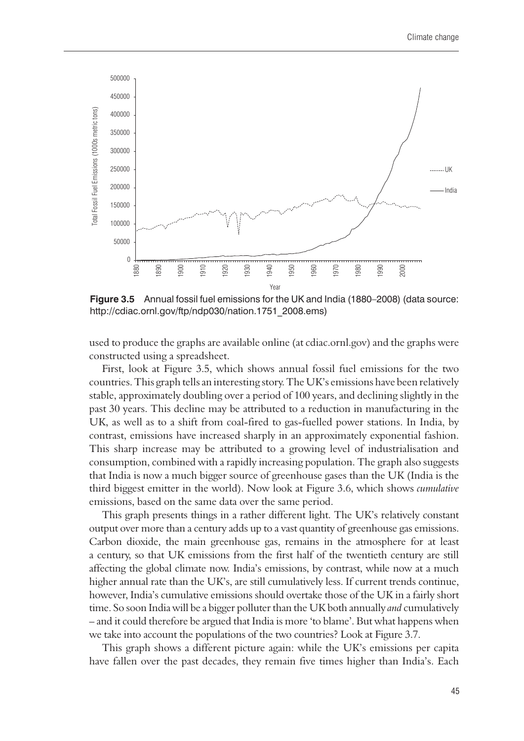

**Figure 3.5** Annual fossil fuel emissions for the UK and India (1880–2008) (data source: http://cdiac.ornl.gov/ftp/ndp030/nation.1751\_2008.ems)

used to produce the graphs are available online (at cdiac.ornl.gov) and the graphs were constructed using a spreadsheet.

First, look at Figure 3.5, which shows annual fossil fuel emissions for the two countries. This graph tells an interesting story. The UK's emissions have been relatively stable, approximately doubling over a period of 100 years, and declining slightly in the past 30 years. This decline may be attributed to a reduction in manufacturing in the UK, as well as to a shift from coal-fired to gas-fuelled power stations. In India, by contrast, emissions have increased sharply in an approximately exponential fashion. This sharp increase may be attributed to a growing level of industrialisation and consumption, combined with a rapidly increasing population. The graph also suggests that India is now a much bigger source of greenhouse gases than the UK (India is the third biggest emitter in the world). Now look at Figure 3.6, which shows *cumulative*  emissions, based on the same data over the same period.

This graph presents things in a rather different light. The UK's relatively constant output over more than a century adds up to a vast quantity of greenhouse gas emissions. Carbon dioxide, the main greenhouse gas, remains in the atmosphere for at least a century, so that UK emissions from the first half of the twentieth century are still affecting the global climate now. India's emissions, by contrast, while now at a much higher annual rate than the UK's, are still cumulatively less. If current trends continue, however, India's cumulative emissions should overtake those of the UK in a fairly short time. So soon India will be a bigger polluter than the UK both annually *and* cumulatively – and it could therefore be argued that India is more 'to blame'. But what happens when we take into account the populations of the two countries? Look at Figure 3.7.

This graph shows a different picture again: while the UK's emissions per capita have fallen over the past decades, they remain five times higher than India's. Each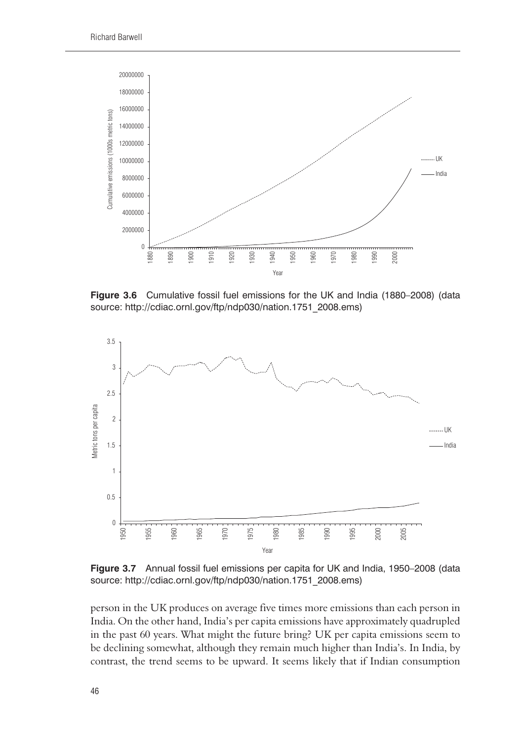

**Figure 3.6** Cumulative fossil fuel emissions for the UK and India (1880–2008) (data source: http://cdiac.ornl.gov/ftp/ndp030/nation.1751\_2008.ems)



**Figure 3.7** Annual fossil fuel emissions per capita for UK and India, 1950–2008 (data source: http://cdiac.ornl.gov/ftp/ndp030/nation.1751\_2008.ems)

person in the UK produces on average five times more emissions than each person in India. On the other hand, India's per capita emissions have approximately quadrupled in the past 60 years. What might the future bring? UK per capita emissions seem to be declining somewhat, although they remain much higher than India's. In India, by contrast, the trend seems to be upward. It seems likely that if Indian consumption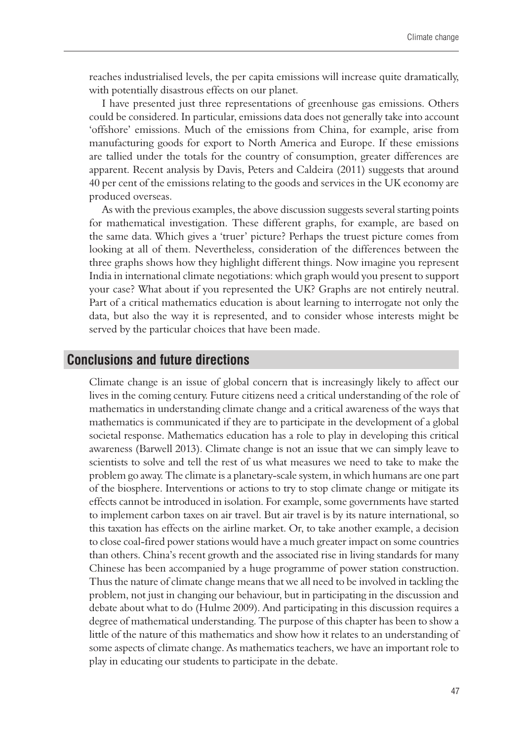reaches industrialised levels, the per capita emissions will increase quite dramatically, with potentially disastrous effects on our planet.

I have presented just three representations of greenhouse gas emissions. Others could be considered. In particular, emissions data does not generally take into account 'offshore' emissions. Much of the emissions from China, for example, arise from manufacturing goods for export to North America and Europe. If these emissions are tallied under the totals for the country of consumption, greater differences are apparent. Recent analysis by Davis, Peters and Caldeira (2011) suggests that around 40 per cent of the emissions relating to the goods and services in the UK economy are produced overseas.

As with the previous examples, the above discussion suggests several starting points for mathematical investigation. These different graphs, for example, are based on the same data. Which gives a 'truer' picture? Perhaps the truest picture comes from looking at all of them. Nevertheless, consideration of the differences between the three graphs shows how they highlight different things. Now imagine you represent India in international climate negotiations: which graph would you present to support your case? What about if you represented the UK? Graphs are not entirely neutral. Part of a critical mathematics education is about learning to interrogate not only the data, but also the way it is represented, and to consider whose interests might be served by the particular choices that have been made.

## **Conclusions and future directions**

Climate change is an issue of global concern that is increasingly likely to affect our lives in the coming century. Future citizens need a critical understanding of the role of mathematics in understanding climate change and a critical awareness of the ways that mathematics is communicated if they are to participate in the development of a global societal response. Mathematics education has a role to play in developing this critical awareness (Barwell 2013). Climate change is not an issue that we can simply leave to scientists to solve and tell the rest of us what measures we need to take to make the problem go away. The climate is a planetary-scale system, in which humans are one part of the biosphere. Interventions or actions to try to stop climate change or mitigate its effects cannot be introduced in isolation. For example, some governments have started to implement carbon taxes on air travel. But air travel is by its nature international, so this taxation has effects on the airline market. Or, to take another example, a decision to close coal-fired power stations would have a much greater impact on some countries than others. China's recent growth and the associated rise in living standards for many Chinese has been accompanied by a huge programme of power station construction. Thus the nature of climate change means that we all need to be involved in tackling the problem, not just in changing our behaviour, but in participating in the discussion and debate about what to do (Hulme 2009). And participating in this discussion requires a degree of mathematical understanding. The purpose of this chapter has been to show a little of the nature of this mathematics and show how it relates to an understanding of some aspects of climate change. As mathematics teachers, we have an important role to play in educating our students to participate in the debate.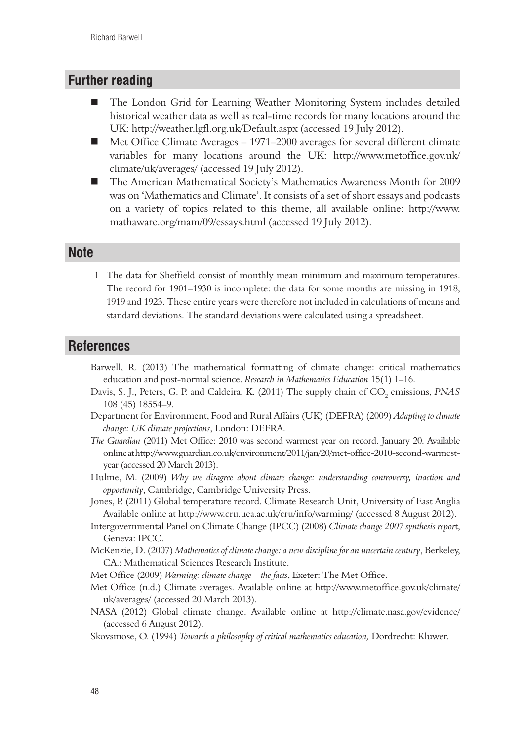# **Further reading**

- The London Grid for Learning Weather Monitoring System includes detailed historical weather data as well as real-time records for many locations around the UK: http://weather.lgfl.org.uk/Default.aspx (accessed 19 July 2012).
- Met Office Climate Averages 1971–2000 averages for several different climate variables for many locations around the UK: http://www.metoffice.gov.uk/ climate/uk/averages/ (accessed 19 July 2012).
- The American Mathematical Society's Mathematics Awareness Month for 2009 was on 'Mathematics and Climate'. It consists of a set of short essays and podcasts on a variety of topics related to this theme, all available online: http://www. mathaware.org/mam/09/essays.html (accessed 19 July 2012).

### **Note**

1 The data for Sheffield consist of monthly mean minimum and maximum temperatures. The record for 1901–1930 is incomplete: the data for some months are missing in 1918, 1919 and 1923. These entire years were therefore not included in calculations of means and standard deviations. The standard deviations were calculated using a spreadsheet.

# **References**

- Barwell, R. (2013) The mathematical formatting of climate change: critical mathematics education and post-normal science. *Research in Mathematics Education* 15(1) 1–16.
- Davis, S. J., Peters, G. P. and Caldeira, K. (2011) The supply chain of CO<sub>2</sub> emissions, *PNAS* 108 (45) 18554–9.
- Department for Environment, Food and Rural Affairs (UK) (DEFRA) (2009) *Adapting to climate change: UK climate projections*, London: DEFRA.
- *The Guardian* (2011) Met Office: 2010 was second warmest year on record. January 20. Available online at http://www.guardian.co.uk/environment/2011/jan/20/met-office-2010-second-warmestyear (accessed 20 March 2013).
- Hulme, M. (2009) *Why we disagree about climate change: understanding controversy, inaction and opportunity*, Cambridge, Cambridge University Press.
- Jones, P. (2011) Global temperature record. Climate Research Unit, University of East Anglia Available online at http://www.cru.uea.ac.uk/cru/info/warming/ (accessed 8 August 2012).
- Intergovernmental Panel on Climate Change (IPCC) (2008) *Climate change 2007 synthesis repor*t, Geneva: IPCC.
- McKenzie, D. (2007) *Mathematics of climate change: a new discipline for an uncertain century*, Berkeley, CA.: Mathematical Sciences Research Institute.
- Met Office (2009) *Warming: climate change the facts*, Exeter: The Met Office.
- Met Office (n.d.) Climate averages. Available online at http://www.metoffice.gov.uk/climate/ uk/averages/ (accessed 20 March 2013).
- NASA (2012) Global climate change. Available online at http://climate.nasa.gov/evidence/ (accessed 6 August 2012).
- Skovsmose, O. (1994) *Towards a philosophy of critical mathematics education,* Dordrecht: Kluwer.